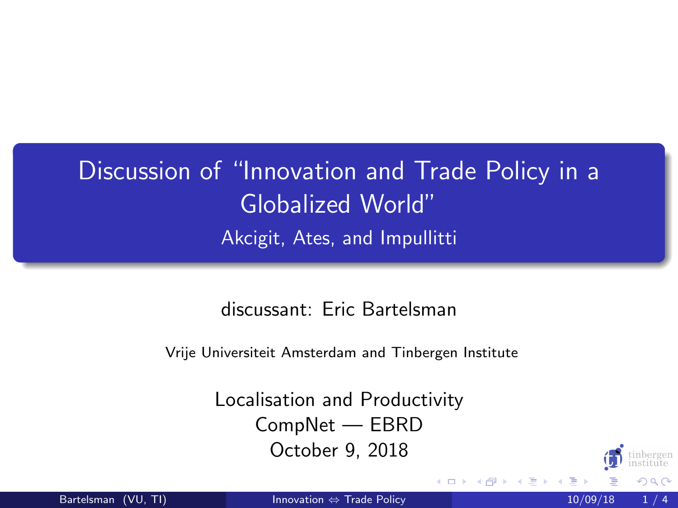## <span id="page-0-0"></span>Discussion of "Innovation and Trade Policy in a Globalized World"

Akcigit, Ates, and Impullitti

discussant: Eric Bartelsman

Vrije Universiteit Amsterdam and Tinbergen Institute

Localisation and Productivity CompNet — EBRD October 9, 2018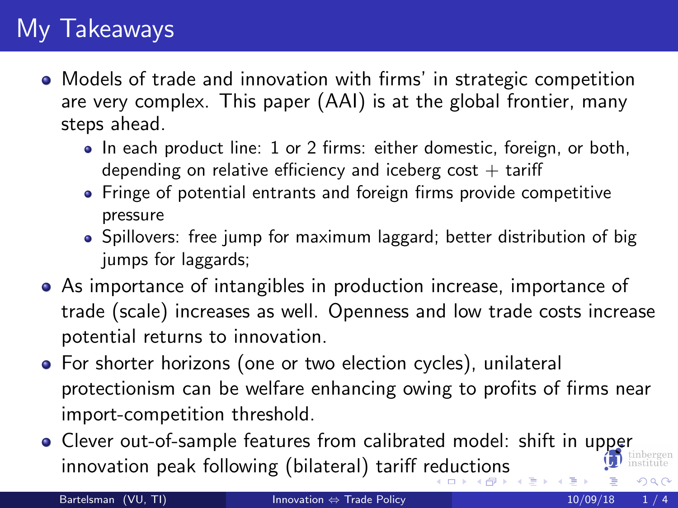## <span id="page-1-0"></span>My Takeaways

- Models of trade and innovation with firms' in strategic competition are very complex. This paper (AAI) is at the global frontier, many steps ahead.
	- In each product line: 1 or 2 firms: either domestic, foreign, or both, depending on relative efficiency and iceberg cost  $+$  tariff
	- Fringe of potential entrants and foreign firms provide competitive pressure
	- Spillovers: free jump for maximum laggard; better distribution of big jumps for laggards;
- As importance of intangibles in production increase, importance of trade (scale) increases as well. Openness and low trade costs increase potential returns to innovation.
- For shorter horizons (one or two election cycles), unilateral protectionism can be welfare enhancing owing to profits of firms near import-competition threshold.
- Clever out-of-sample features from calibrated model: shift in upper innovation peak following (bilateral) tariff r[ed](#page-0-0)[uc](#page-2-0)[tion](#page-0-0)[s](#page-1-0)  $\Omega$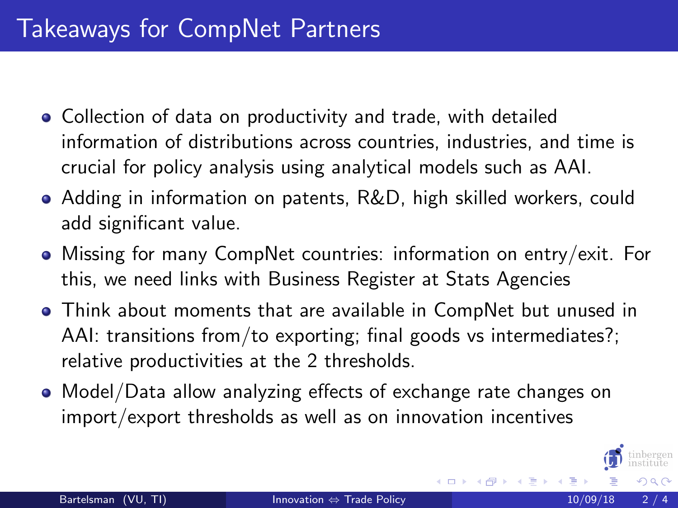- <span id="page-2-0"></span>Collection of data on productivity and trade, with detailed information of distributions across countries, industries, and time is crucial for policy analysis using analytical models such as AAI.
- Adding in information on patents, R&D, high skilled workers, could add significant value.
- Missing for many CompNet countries: information on entry/exit. For this, we need links with Business Register at Stats Agencies
- Think about moments that are available in CompNet but unused in AAI: transitions from/to exporting; final goods vs intermediates?; relative productivities at the 2 thresholds.
- Model/Data allow analyzing effects of exchange rate changes on import/export thresholds as well as on innovation incentives

 $\Omega$ 

4 D F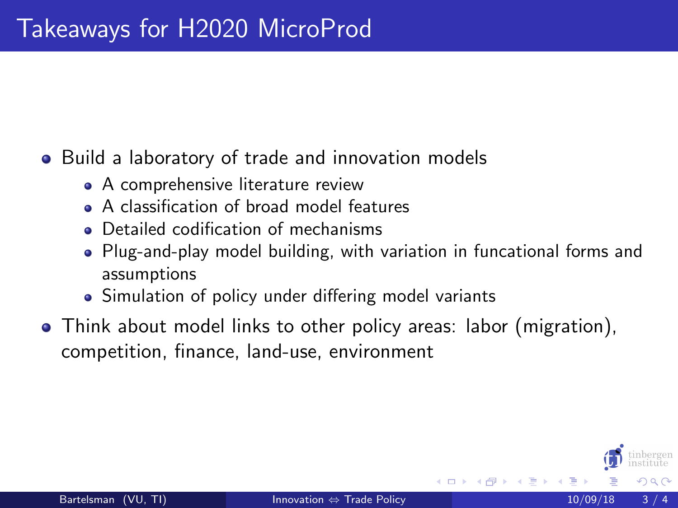## Build a laboratory of trade and innovation models

- A comprehensive literature review
- A classification of broad model features
- **•** Detailed codification of mechanisms
- Plug-and-play model building, with variation in funcational forms and assumptions
- Simulation of policy under differing model variants
- Think about model links to other policy areas: labor (migration), competition, finance, land-use, environment

4 D F